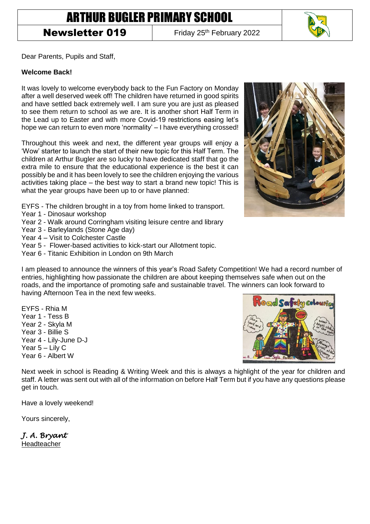# ARTHUR BUGLER PRIMARY SCHOOL

# **Newsletter 019** Friday 25<sup>th</sup> February 2022

Dear Parents, Pupils and Staff,

#### **Welcome Back!**

It was lovely to welcome everybody back to the Fun Factory on Monday after a well deserved week off! The children have returned in good spirits and have settled back extremely well. I am sure you are just as pleased to see them return to school as we are. It is another short Half Term in the Lead up to Easter and with more Covid-19 restrictions easing let's hope we can return to even more 'normality' – I have everything crossed!

Throughout this week and next, the different year groups will enjoy a 'Wow' starter to launch the start of their new topic for this Half Term. The children at Arthur Bugler are so lucky to have dedicated staff that go the extra mile to ensure that the educational experience is the best it can possibly be and it has been lovely to see the children enjoying the various activities taking place – the best way to start a brand new topic! This is what the year groups have been up to or have planned:

EYFS - The children brought in a toy from home linked to transport.

- Year 1 Dinosaur workshop
- Year 2 Walk around Corringham visiting leisure centre and library
- Year 3 Barleylands (Stone Age day)
- Year 4 Visit to Colchester Castle
- Year 5 Flower-based activities to kick-start our Allotment topic.
- Year 6 Titanic Exhibition in London on 9th March



- I am pleased to announce the winners of this year's Road Safety Competition! We had a record number of entries, highlighting how passionate the children are about keeping themselves safe when out on the roads, and the importance of promoting safe and sustainable travel. The winners can look forward to having Afternoon Tea in the next few weeks.
- EYFS Rhia M Year 1 - Tess B Year 2 - Skyla M Year 3 - Billie S Year 4 - Lily-June D-J Year 5 – Lily C Year 6 - Albert W



Next week in school is Reading & Writing Week and this is always a highlight of the year for children and staff. A letter was sent out with all of the information on before Half Term but if you have any questions please get in touch.

Have a lovely weekend!

Yours sincerely,

*J. A. Bryant*  Headteacher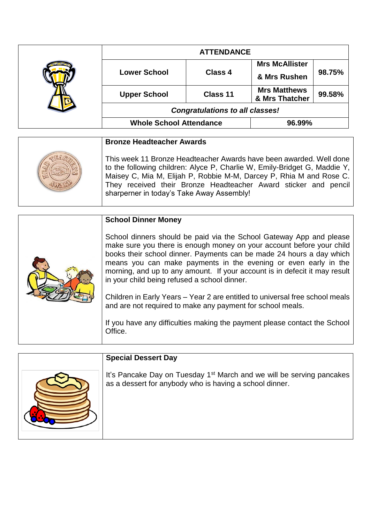|  | <b>ATTENDANCE</b>                      |                |                                       |        |
|--|----------------------------------------|----------------|---------------------------------------|--------|
|  | <b>Lower School</b>                    | <b>Class 4</b> | <b>Mrs McAllister</b>                 | 98.75% |
|  |                                        |                | & Mrs Rushen                          |        |
|  | <b>Upper School</b>                    | Class 11       | <b>Mrs Matthews</b><br>& Mrs Thatcher | 99.58% |
|  | <b>Congratulations to all classes!</b> |                |                                       |        |
|  | <b>Whole School Attendance</b>         |                | 96.99%                                |        |

| <b>Bronze Headteacher Awards</b>                                                                                                                                                                                                                                                                                                        |
|-----------------------------------------------------------------------------------------------------------------------------------------------------------------------------------------------------------------------------------------------------------------------------------------------------------------------------------------|
| This week 11 Bronze Headteacher Awards have been awarded. Well done<br>to the following children: Alyce P, Charlie W, Emily-Bridget G, Maddie Y,<br>Maisey C, Mia M, Elijah P, Robbie M-M, Darcey P, Rhia M and Rose C.<br>They received their Bronze Headteacher Award sticker and pencil<br>sharperner in today's Take Away Assembly! |

|  | <b>School Dinner Money</b>                                                                                                                                                                                                                                                                                                                                                                                            |
|--|-----------------------------------------------------------------------------------------------------------------------------------------------------------------------------------------------------------------------------------------------------------------------------------------------------------------------------------------------------------------------------------------------------------------------|
|  | School dinners should be paid via the School Gateway App and please<br>make sure you there is enough money on your account before your child<br>books their school dinner. Payments can be made 24 hours a day which<br>means you can make payments in the evening or even early in the<br>morning, and up to any amount. If your account is in defecit it may result<br>in your child being refused a school dinner. |
|  | Children in Early Years – Year 2 are entitled to universal free school meals<br>and are not required to make any payment for school meals.                                                                                                                                                                                                                                                                            |
|  | If you have any difficulties making the payment please contact the School<br>Office.                                                                                                                                                                                                                                                                                                                                  |

| <b>Special Dessert Day</b>                                                                                                                   |
|----------------------------------------------------------------------------------------------------------------------------------------------|
| It's Pancake Day on Tuesday 1 <sup>st</sup> March and we will be serving pancakes<br>as a dessert for anybody who is having a school dinner. |